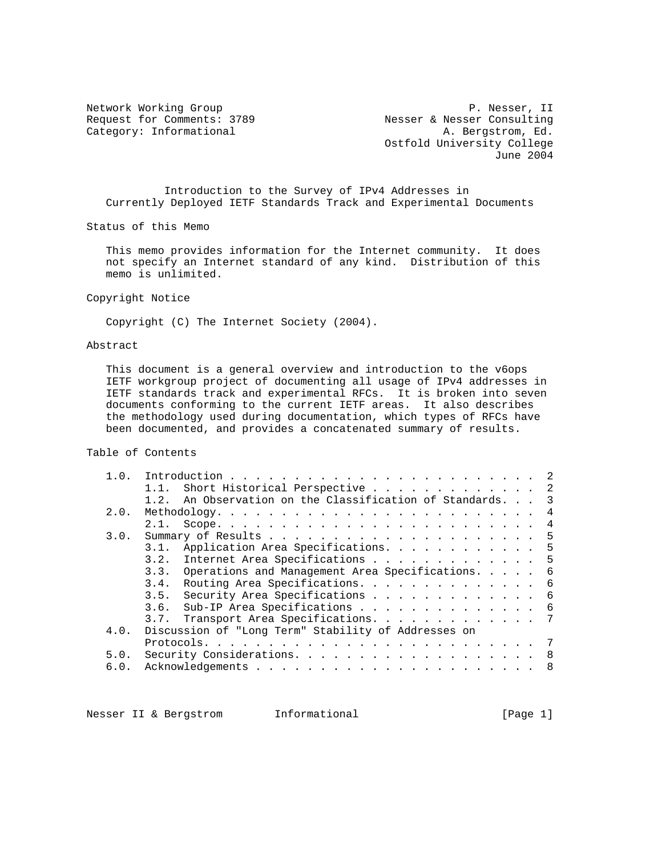Network Working Group<br>Request for Commens: 3789<br>Request for Commens: 3789<br>Resser & Nesser Consulting Request for Comments: 3789 Nesser & Nesser Consulting Category: Informational  $A.$  Bergstrom, Ed. Ostfold University College June 2004

 Introduction to the Survey of IPv4 Addresses in Currently Deployed IETF Standards Track and Experimental Documents

Status of this Memo

 This memo provides information for the Internet community. It does not specify an Internet standard of any kind. Distribution of this memo is unlimited.

Copyright Notice

Copyright (C) The Internet Society (2004).

# Abstract

 This document is a general overview and introduction to the v6ops IETF workgroup project of documenting all usage of IPv4 addresses in IETF standards track and experimental RFCs. It is broken into seven documents conforming to the current IETF areas. It also describes the methodology used during documentation, which types of RFCs have been documented, and provides a concatenated summary of results.

### Table of Contents

| 1.0. |                                                          |
|------|----------------------------------------------------------|
|      | 1.1. Short Historical Perspective 2                      |
|      | 1.2. An Observation on the Classification of Standards 3 |
| 2.0. |                                                          |
|      | 2.1.                                                     |
| 3.0. | -5                                                       |
|      | 3.1. Application Area Specifications. 5                  |
|      | Internet Area Specifications 5<br>3.2.                   |
|      | 3.3. Operations and Management Area Specifications. 6    |
|      | Routing Area Specifications. 6<br>3.4.                   |
|      | 3.5. Security Area Specifications 6                      |
|      | 3.6. Sub-IP Area Specifications 6                        |
|      | 3.7. Transport Area Specifications. 7                    |
| 4.0. | Discussion of "Long Term" Stability of Addresses on      |
|      |                                                          |
| 5.0. | Security Considerations. 8                               |
| 6.0. |                                                          |
|      |                                                          |

Nesser II & Bergstrom Informational (Page 1)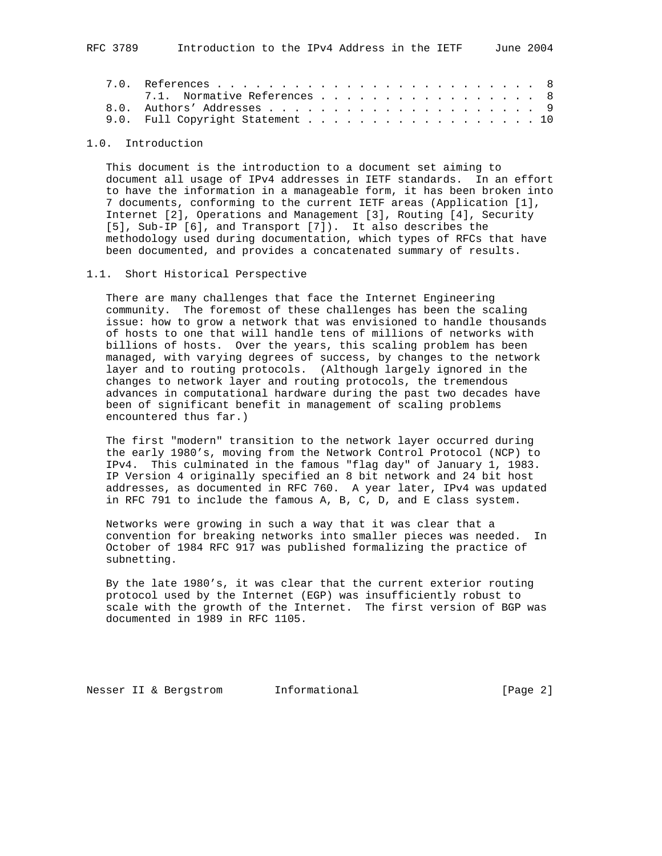| 7.1. Normative References 8      |  |  |  |  |  |  |  |  |  |
|----------------------------------|--|--|--|--|--|--|--|--|--|
|                                  |  |  |  |  |  |  |  |  |  |
| 9.0. Full Copyright Statement 10 |  |  |  |  |  |  |  |  |  |

# 1.0. Introduction

 This document is the introduction to a document set aiming to document all usage of IPv4 addresses in IETF standards. In an effort to have the information in a manageable form, it has been broken into 7 documents, conforming to the current IETF areas (Application [1], Internet [2], Operations and Management [3], Routing [4], Security [5], Sub-IP [6], and Transport [7]). It also describes the methodology used during documentation, which types of RFCs that have been documented, and provides a concatenated summary of results.

### 1.1. Short Historical Perspective

 There are many challenges that face the Internet Engineering community. The foremost of these challenges has been the scaling issue: how to grow a network that was envisioned to handle thousands of hosts to one that will handle tens of millions of networks with billions of hosts. Over the years, this scaling problem has been managed, with varying degrees of success, by changes to the network layer and to routing protocols. (Although largely ignored in the changes to network layer and routing protocols, the tremendous advances in computational hardware during the past two decades have been of significant benefit in management of scaling problems encountered thus far.)

 The first "modern" transition to the network layer occurred during the early 1980's, moving from the Network Control Protocol (NCP) to IPv4. This culminated in the famous "flag day" of January 1, 1983. IP Version 4 originally specified an 8 bit network and 24 bit host addresses, as documented in RFC 760. A year later, IPv4 was updated in RFC 791 to include the famous A, B, C, D, and E class system.

 Networks were growing in such a way that it was clear that a convention for breaking networks into smaller pieces was needed. In October of 1984 RFC 917 was published formalizing the practice of subnetting.

 By the late 1980's, it was clear that the current exterior routing protocol used by the Internet (EGP) was insufficiently robust to scale with the growth of the Internet. The first version of BGP was documented in 1989 in RFC 1105.

Nesser II & Bergstrom 1nformational [Page 2]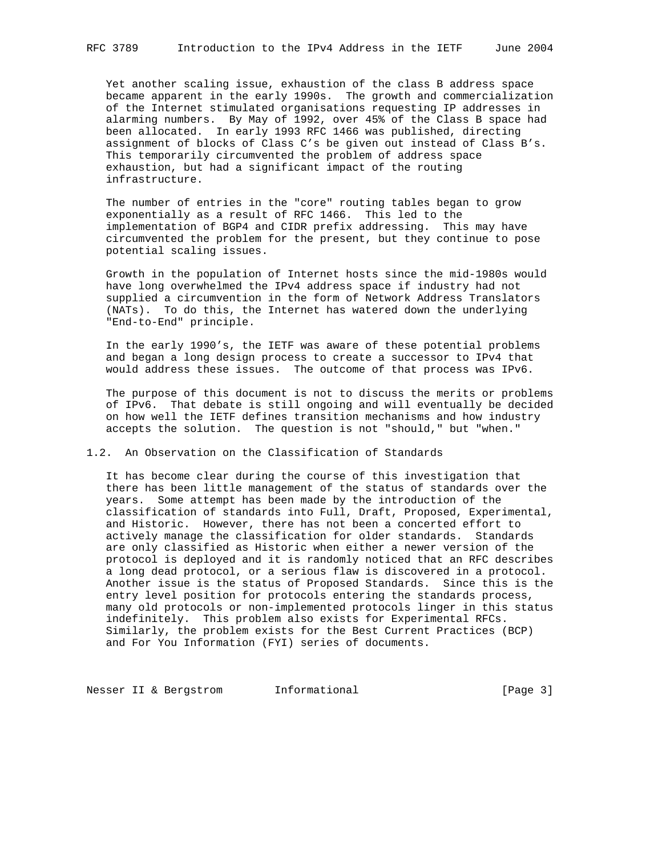Yet another scaling issue, exhaustion of the class B address space became apparent in the early 1990s. The growth and commercialization of the Internet stimulated organisations requesting IP addresses in alarming numbers. By May of 1992, over 45% of the Class B space had been allocated. In early 1993 RFC 1466 was published, directing assignment of blocks of Class C's be given out instead of Class B's. This temporarily circumvented the problem of address space exhaustion, but had a significant impact of the routing infrastructure.

 The number of entries in the "core" routing tables began to grow exponentially as a result of RFC 1466. This led to the implementation of BGP4 and CIDR prefix addressing. This may have circumvented the problem for the present, but they continue to pose potential scaling issues.

 Growth in the population of Internet hosts since the mid-1980s would have long overwhelmed the IPv4 address space if industry had not supplied a circumvention in the form of Network Address Translators (NATs). To do this, the Internet has watered down the underlying "End-to-End" principle.

 In the early 1990's, the IETF was aware of these potential problems and began a long design process to create a successor to IPv4 that would address these issues. The outcome of that process was IPv6.

 The purpose of this document is not to discuss the merits or problems of IPv6. That debate is still ongoing and will eventually be decided on how well the IETF defines transition mechanisms and how industry accepts the solution. The question is not "should," but "when."

#### 1.2. An Observation on the Classification of Standards

 It has become clear during the course of this investigation that there has been little management of the status of standards over the years. Some attempt has been made by the introduction of the classification of standards into Full, Draft, Proposed, Experimental, and Historic. However, there has not been a concerted effort to actively manage the classification for older standards. Standards are only classified as Historic when either a newer version of the protocol is deployed and it is randomly noticed that an RFC describes a long dead protocol, or a serious flaw is discovered in a protocol. Another issue is the status of Proposed Standards. Since this is the entry level position for protocols entering the standards process, many old protocols or non-implemented protocols linger in this status indefinitely. This problem also exists for Experimental RFCs. Similarly, the problem exists for the Best Current Practices (BCP) and For You Information (FYI) series of documents.

Nesser II & Bergstrom Informational (Page 3)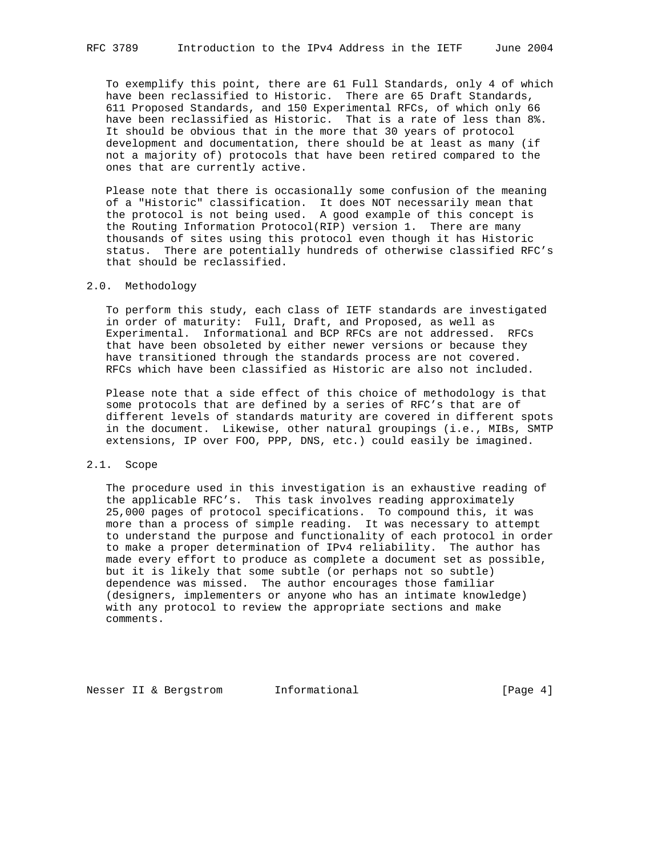To exemplify this point, there are 61 Full Standards, only 4 of which have been reclassified to Historic. There are 65 Draft Standards, 611 Proposed Standards, and 150 Experimental RFCs, of which only 66 have been reclassified as Historic. That is a rate of less than 8%. It should be obvious that in the more that 30 years of protocol development and documentation, there should be at least as many (if not a majority of) protocols that have been retired compared to the ones that are currently active.

 Please note that there is occasionally some confusion of the meaning of a "Historic" classification. It does NOT necessarily mean that the protocol is not being used. A good example of this concept is the Routing Information Protocol(RIP) version 1. There are many thousands of sites using this protocol even though it has Historic status. There are potentially hundreds of otherwise classified RFC's that should be reclassified.

### 2.0. Methodology

 To perform this study, each class of IETF standards are investigated in order of maturity: Full, Draft, and Proposed, as well as Experimental. Informational and BCP RFCs are not addressed. RFCs that have been obsoleted by either newer versions or because they have transitioned through the standards process are not covered. RFCs which have been classified as Historic are also not included.

 Please note that a side effect of this choice of methodology is that some protocols that are defined by a series of RFC's that are of different levels of standards maturity are covered in different spots in the document. Likewise, other natural groupings (i.e., MIBs, SMTP extensions, IP over FOO, PPP, DNS, etc.) could easily be imagined.

#### 2.1. Scope

 The procedure used in this investigation is an exhaustive reading of the applicable RFC's. This task involves reading approximately 25,000 pages of protocol specifications. To compound this, it was more than a process of simple reading. It was necessary to attempt to understand the purpose and functionality of each protocol in order to make a proper determination of IPv4 reliability. The author has made every effort to produce as complete a document set as possible, but it is likely that some subtle (or perhaps not so subtle) dependence was missed. The author encourages those familiar (designers, implementers or anyone who has an intimate knowledge) with any protocol to review the appropriate sections and make comments.

Nesser II & Bergstrom 1nformational (Page 4)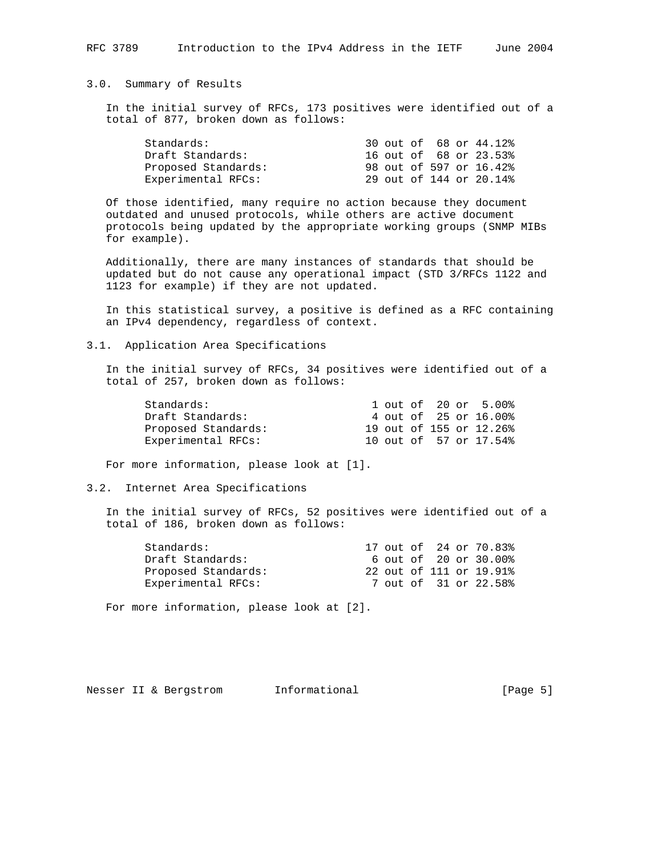## 3.0. Summary of Results

 In the initial survey of RFCs, 173 positives were identified out of a total of 877, broken down as follows:

|  |  | 30 out of 68 or 44.12%<br>16 out of 68 or 23.53%<br>98 out of 597 or 16.42%<br>29 out of 144 or 20.14% |
|--|--|--------------------------------------------------------------------------------------------------------|

 Of those identified, many require no action because they document outdated and unused protocols, while others are active document protocols being updated by the appropriate working groups (SNMP MIBs for example).

 Additionally, there are many instances of standards that should be updated but do not cause any operational impact (STD 3/RFCs 1122 and 1123 for example) if they are not updated.

 In this statistical survey, a positive is defined as a RFC containing an IPv4 dependency, regardless of context.

3.1. Application Area Specifications

 In the initial survey of RFCs, 34 positives were identified out of a total of 257, broken down as follows:

|  |  | 1 out of 20 or 5.00%<br>4 out of 25 or 16.00%<br>19 out of 155 or 12.26%<br>10 out of 57 or 17.54% |
|--|--|----------------------------------------------------------------------------------------------------|

For more information, please look at [1].

## 3.2. Internet Area Specifications

 In the initial survey of RFCs, 52 positives were identified out of a total of 186, broken down as follows:

|  |  | 17 out of 24 or 70.83%<br>6 out of 20 or 30.00%<br>22 out of 111 or 19.91%<br>7 out of 31 or 22.58% |
|--|--|-----------------------------------------------------------------------------------------------------|

For more information, please look at [2].

|  |  |  | Nesser II & Bergstrom | Informational | [Page $5$ ] |
|--|--|--|-----------------------|---------------|-------------|
|--|--|--|-----------------------|---------------|-------------|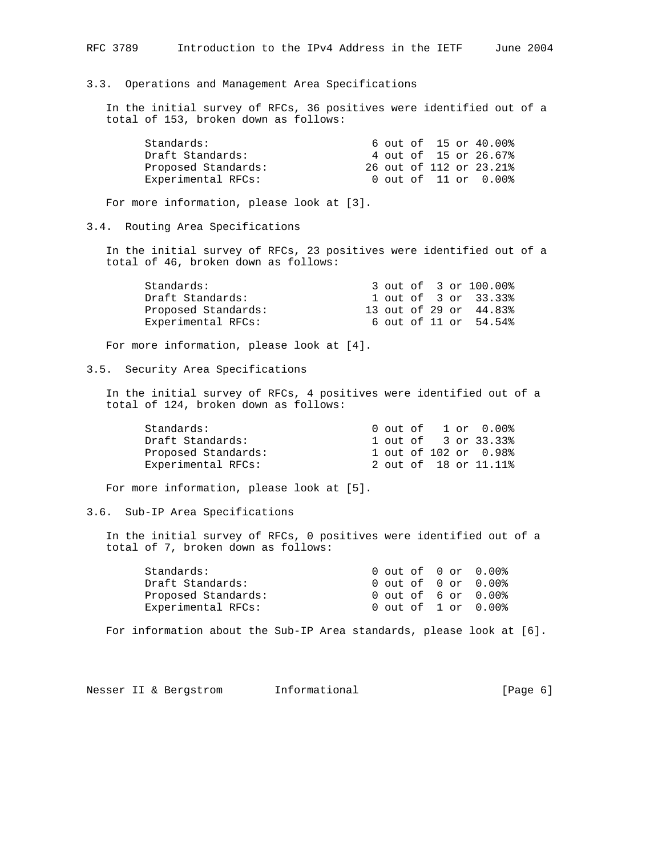3.3. Operations and Management Area Specifications In the initial survey of RFCs, 36 positives were identified out of a total of 153, broken down as follows: Standards: 6 out of 15 or 40.00%<br>Draft Standards: 4 out of 15 or 26.67% 4 out of 15 or 26.67%<br>26 out of 112 or 23.21% Draft Standards:<br>Proposed Standards: Experimental RFCs: 0 out of 11 or 0.00% For more information, please look at [3]. 3.4. Routing Area Specifications In the initial survey of RFCs, 23 positives were identified out of a total of 46, broken down as follows: Standards: 3 out of 3 or 100.00% Draft Standards: 1 out of 3 or 33.33% Proposed Standards: 13 out of 29 or 44.83% Experimental RFCs: 6 out of 11 or 54.54% For more information, please look at [4]. 3.5. Security Area Specifications In the initial survey of RFCs, 4 positives were identified out of a total of 124, broken down as follows: Standards: 0 out of 1 or 0.00% Draft Standards: 1 out of 3 or 33.33% Proposed Standards: 1 out of 102 or 0.98% Experimental RFCs: 2 out of 18 or 11.11% For more information, please look at [5]. 3.6. Sub-IP Area Specifications In the initial survey of RFCs, 0 positives were identified out of a total of 7, broken down as follows: Standards: 0 out of 0 or 0.00% Draft Standards: 0 out of 0 or 0.00% Proposed Standards: 0 out of 6 or 0.00% Experimental RFCs: 0 out of 1 or 0.00% For information about the Sub-IP Area standards, please look at [6]. Nesser II & Bergstrom 1nformational (Page 6)

RFC 3789 Introduction to the IPv4 Address in the IETF June 2004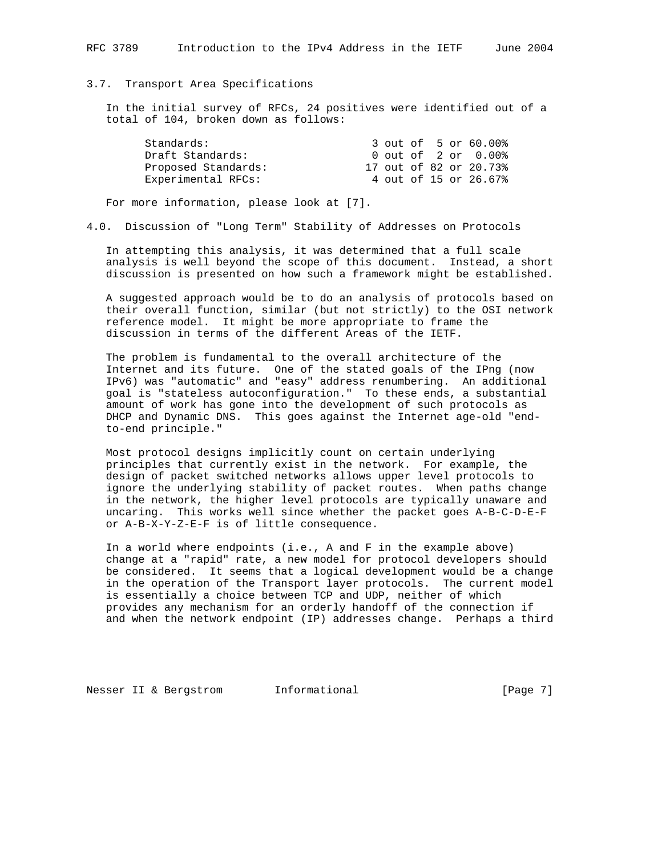#### 3.7. Transport Area Specifications

 In the initial survey of RFCs, 24 positives were identified out of a total of 104, broken down as follows:

| Standards:          |  |  | 3 out of 5 or 60.00%   |
|---------------------|--|--|------------------------|
| Draft Standards:    |  |  | 0 out of 2 or 0.00%    |
| Proposed Standards: |  |  | 17 out of 82 or 20.73% |
| Experimental RFCs:  |  |  | 4 out of 15 or 26.67%  |

For more information, please look at [7].

4.0. Discussion of "Long Term" Stability of Addresses on Protocols

 In attempting this analysis, it was determined that a full scale analysis is well beyond the scope of this document. Instead, a short discussion is presented on how such a framework might be established.

 A suggested approach would be to do an analysis of protocols based on their overall function, similar (but not strictly) to the OSI network reference model. It might be more appropriate to frame the discussion in terms of the different Areas of the IETF.

 The problem is fundamental to the overall architecture of the Internet and its future. One of the stated goals of the IPng (now IPv6) was "automatic" and "easy" address renumbering. An additional goal is "stateless autoconfiguration." To these ends, a substantial amount of work has gone into the development of such protocols as DHCP and Dynamic DNS. This goes against the Internet age-old "end to-end principle."

 Most protocol designs implicitly count on certain underlying principles that currently exist in the network. For example, the design of packet switched networks allows upper level protocols to ignore the underlying stability of packet routes. When paths change in the network, the higher level protocols are typically unaware and uncaring. This works well since whether the packet goes A-B-C-D-E-F or A-B-X-Y-Z-E-F is of little consequence.

 In a world where endpoints (i.e., A and F in the example above) change at a "rapid" rate, a new model for protocol developers should be considered. It seems that a logical development would be a change in the operation of the Transport layer protocols. The current model is essentially a choice between TCP and UDP, neither of which provides any mechanism for an orderly handoff of the connection if and when the network endpoint (IP) addresses change. Perhaps a third

Nesser II & Bergstrom informational [Page 7]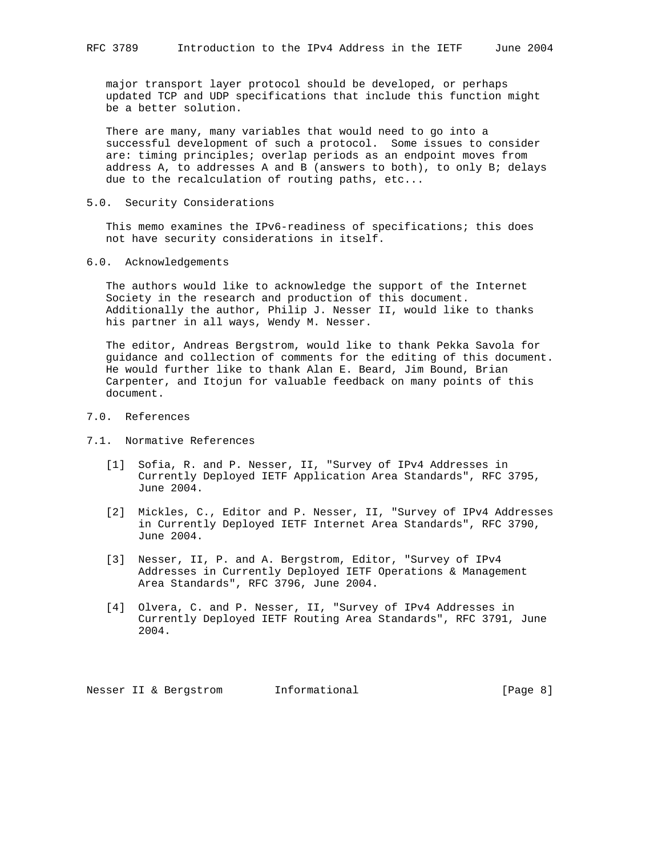major transport layer protocol should be developed, or perhaps updated TCP and UDP specifications that include this function might be a better solution.

 There are many, many variables that would need to go into a successful development of such a protocol. Some issues to consider are: timing principles; overlap periods as an endpoint moves from address A, to addresses A and B (answers to both), to only B; delays due to the recalculation of routing paths, etc...

#### 5.0. Security Considerations

 This memo examines the IPv6-readiness of specifications; this does not have security considerations in itself.

### 6.0. Acknowledgements

 The authors would like to acknowledge the support of the Internet Society in the research and production of this document. Additionally the author, Philip J. Nesser II, would like to thanks his partner in all ways, Wendy M. Nesser.

 The editor, Andreas Bergstrom, would like to thank Pekka Savola for guidance and collection of comments for the editing of this document. He would further like to thank Alan E. Beard, Jim Bound, Brian Carpenter, and Itojun for valuable feedback on many points of this document.

# 7.0. References

- 7.1. Normative References
	- [1] Sofia, R. and P. Nesser, II, "Survey of IPv4 Addresses in Currently Deployed IETF Application Area Standards", RFC 3795, June 2004.
	- [2] Mickles, C., Editor and P. Nesser, II, "Survey of IPv4 Addresses in Currently Deployed IETF Internet Area Standards", RFC 3790, June 2004.
	- [3] Nesser, II, P. and A. Bergstrom, Editor, "Survey of IPv4 Addresses in Currently Deployed IETF Operations & Management Area Standards", RFC 3796, June 2004.
	- [4] Olvera, C. and P. Nesser, II, "Survey of IPv4 Addresses in Currently Deployed IETF Routing Area Standards", RFC 3791, June 2004.

Nesser II & Bergstrom 1nformational (Page 8)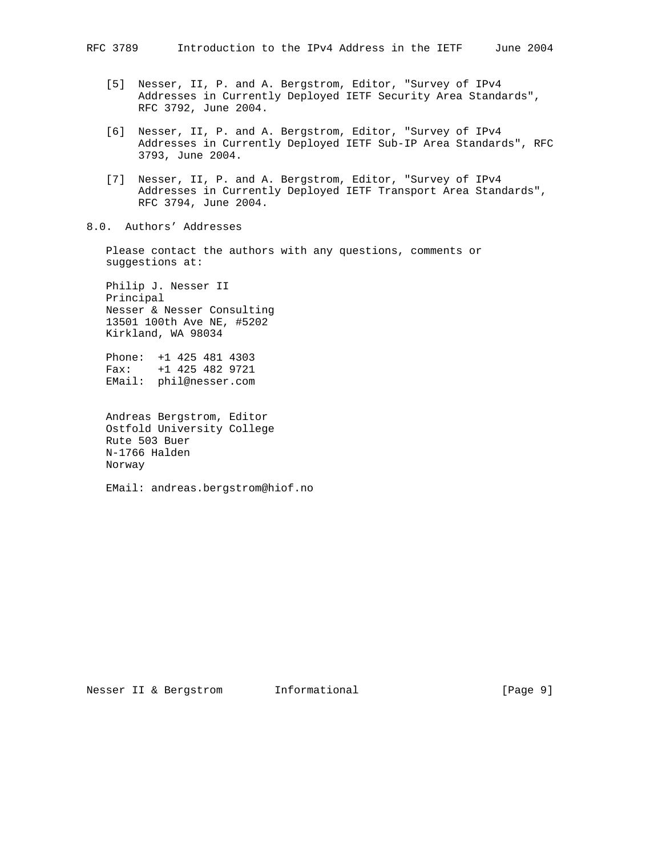- [5] Nesser, II, P. and A. Bergstrom, Editor, "Survey of IPv4 Addresses in Currently Deployed IETF Security Area Standards", RFC 3792, June 2004.
- [6] Nesser, II, P. and A. Bergstrom, Editor, "Survey of IPv4 Addresses in Currently Deployed IETF Sub-IP Area Standards", RFC 3793, June 2004.
- [7] Nesser, II, P. and A. Bergstrom, Editor, "Survey of IPv4 Addresses in Currently Deployed IETF Transport Area Standards", RFC 3794, June 2004.

# 8.0. Authors' Addresses

 Please contact the authors with any questions, comments or suggestions at:

 Philip J. Nesser II Principal Nesser & Nesser Consulting 13501 100th Ave NE, #5202 Kirkland, WA 98034

 Phone: +1 425 481 4303 Fax: +1 425 482 9721 EMail: phil@nesser.com

 Andreas Bergstrom, Editor Ostfold University College Rute 503 Buer N-1766 Halden Norway

EMail: andreas.bergstrom@hiof.no